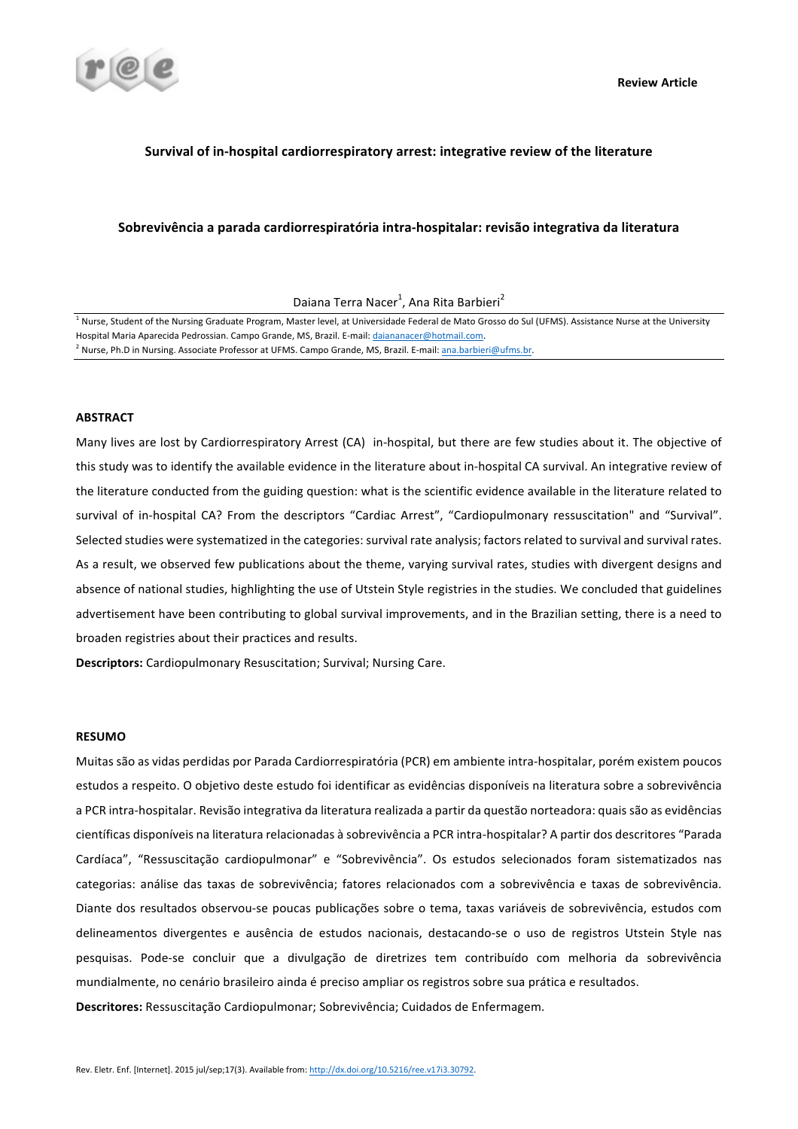

# **Survival of in-hospital cardiorrespiratory arrest: integrative review of the literature**

## Sobrevivência a parada cardiorrespiratória intra-hospitalar: revisão integrativa da literatura

Daiana Terra Nacer<sup>1</sup>, Ana Rita Barbieri<sup>2</sup>

 $1$  Nurse, Student of the Nursing Graduate Program, Master level, at Universidade Federal de Mato Grosso do Sul (UFMS). Assistance Nurse at the University Hospital Maria Aparecida Pedrossian. Campo Grande, MS, Brazil. E-mail: daiananacer@hotmail.com.

<sup>2</sup> Nurse, Ph.D in Nursing. Associate Professor at UFMS. Campo Grande, MS, Brazil. E-mail: ana.barbieri@ufms.br.

## **ABSTRACT**

Many lives are lost by Cardiorrespiratory Arrest (CA) in-hospital, but there are few studies about it. The objective of this study was to identify the available evidence in the literature about in-hospital CA survival. An integrative review of the literature conducted from the guiding question: what is the scientific evidence available in the literature related to survival of in-hospital CA? From the descriptors "Cardiac Arrest", "Cardiopulmonary ressuscitation" and "Survival". Selected studies were systematized in the categories: survival rate analysis; factors related to survival and survival rates. As a result, we observed few publications about the theme, varying survival rates, studies with divergent designs and absence of national studies, highlighting the use of Utstein Style registries in the studies. We concluded that guidelines advertisement have been contributing to global survival improvements, and in the Brazilian setting, there is a need to broaden registries about their practices and results.

**Descriptors:** Cardiopulmonary Resuscitation; Survival; Nursing Care.

## **RESUMO**

Muitas são as vidas perdidas por Parada Cardiorrespiratória (PCR) em ambiente intra-hospitalar, porém existem poucos estudos a respeito. O objetivo deste estudo foi identificar as evidências disponíveis na literatura sobre a sobrevivência a PCR intra-hospitalar. Revisão integrativa da literatura realizada a partir da questão norteadora: quais são as evidências científicas disponíveis na literatura relacionadas à sobrevivência a PCR intra-hospitalar? A partir dos descritores "Parada Cardíaca", "Ressuscitação cardiopulmonar" e "Sobrevivência". Os estudos selecionados foram sistematizados nas categorias: análise das taxas de sobrevivência; fatores relacionados com a sobrevivência e taxas de sobrevivência. Diante dos resultados observou-se poucas publicações sobre o tema, taxas variáveis de sobrevivência, estudos com delineamentos divergentes e ausência de estudos nacionais, destacando-se o uso de registros Utstein Style nas pesquisas. Pode-se concluir que a divulgação de diretrizes tem contribuído com melhoria da sobrevivência mundialmente, no cenário brasileiro ainda é preciso ampliar os registros sobre sua prática e resultados. Descritores: Ressuscitação Cardiopulmonar; Sobrevivência; Cuidados de Enfermagem.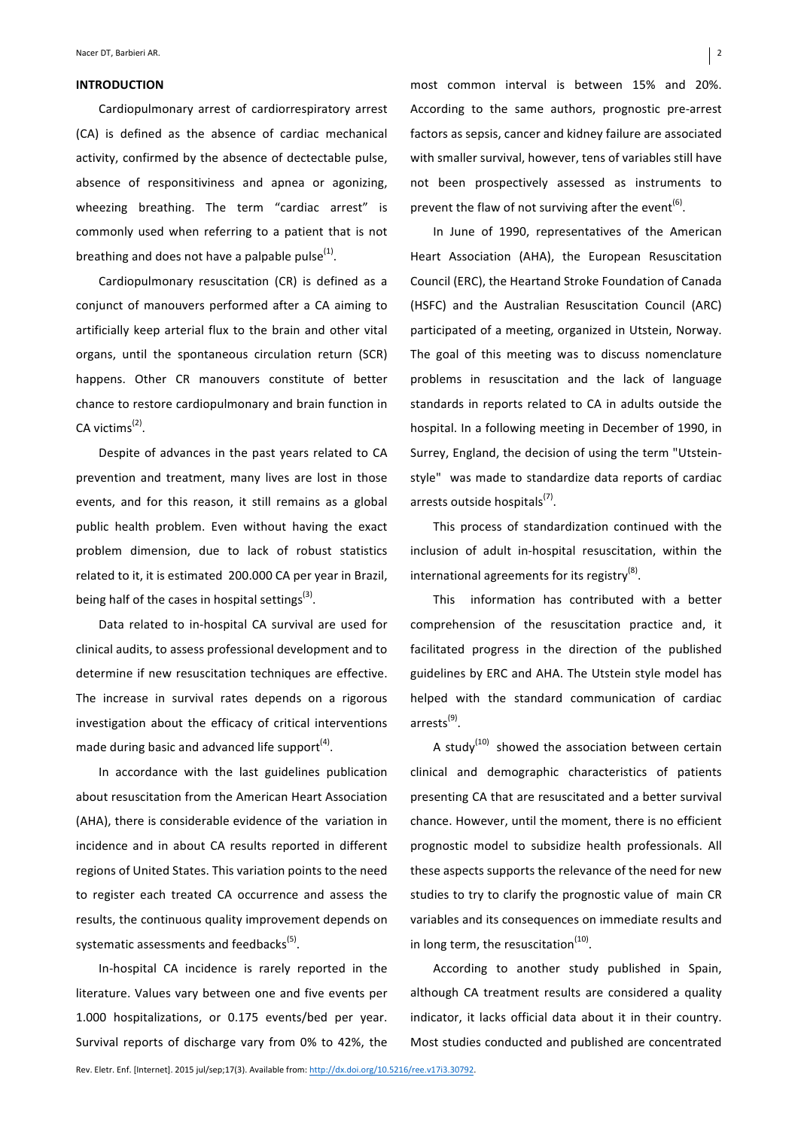#### **INTRODUCTION**

Cardiopulmonary arrest of cardiorrespiratory arrest (CA) is defined as the absence of cardiac mechanical activity, confirmed by the absence of dectectable pulse, absence of responsitiviness and apnea or agonizing, wheezing breathing. The term "cardiac arrest" is commonly used when referring to a patient that is not breathing and does not have a palpable pulse $<sup>(1)</sup>$ .</sup>

Cardiopulmonary resuscitation (CR) is defined as a conjunct of manouvers performed after a CA aiming to artificially keep arterial flux to the brain and other vital organs, until the spontaneous circulation return (SCR) happens. Other CR manouvers constitute of better chance to restore cardiopulmonary and brain function in CA victims $<sup>(2)</sup>$ .</sup>

Despite of advances in the past years related to CA prevention and treatment, many lives are lost in those events, and for this reason, it still remains as a global public health problem. Even without having the exact problem dimension, due to lack of robust statistics related to it, it is estimated 200.000 CA per year in Brazil, being half of the cases in hospital settings<sup>(3)</sup>.

Data related to in-hospital CA survival are used for clinical audits, to assess professional development and to determine if new resuscitation techniques are effective. The increase in survival rates depends on a rigorous investigation about the efficacy of critical interventions made during basic and advanced life support $<sup>(4)</sup>$ .</sup>

In accordance with the last guidelines publication about resuscitation from the American Heart Association (AHA), there is considerable evidence of the variation in incidence and in about CA results reported in different regions of United States. This variation points to the need to register each treated CA occurrence and assess the results, the continuous quality improvement depends on systematic assessments and feedbacks<sup>(5)</sup>.

In-hospital CA incidence is rarely reported in the literature. Values vary between one and five events per 1.000 hospitalizations, or 0.175 events/bed per year. Survival reports of discharge vary from 0% to 42%, the

In June of 1990, representatives of the American Heart Association (AHA), the European Resuscitation Council (ERC), the Heartand Stroke Foundation of Canada (HSFC) and the Australian Resuscitation Council (ARC) participated of a meeting, organized in Utstein, Norway. The goal of this meeting was to discuss nomenclature problems in resuscitation and the lack of language standards in reports related to CA in adults outside the hospital. In a following meeting in December of 1990, in Surrey, England, the decision of using the term "Utsteinstyle" was made to standardize data reports of cardiac arrests outside hospitals $^{(7)}$ .

This process of standardization continued with the inclusion of adult in-hospital resuscitation, within the international agreements for its registry $^{(8)}$ .

This information has contributed with a better comprehension of the resuscitation practice and, it facilitated progress in the direction of the published guidelines by ERC and AHA. The Utstein style model has helped with the standard communication of cardiac arrests(9).

A study<sup>(10)</sup> showed the association between certain clinical and demographic characteristics of patients presenting CA that are resuscitated and a better survival chance. However, until the moment, there is no efficient prognostic model to subsidize health professionals. All these aspects supports the relevance of the need for new studies to try to clarify the prognostic value of main CR variables and its consequences on immediate results and in long term, the resuscitation $<sup>(10)</sup>$ .</sup>

According to another study published in Spain, although CA treatment results are considered a quality indicator, it lacks official data about it in their country. Most studies conducted and published are concentrated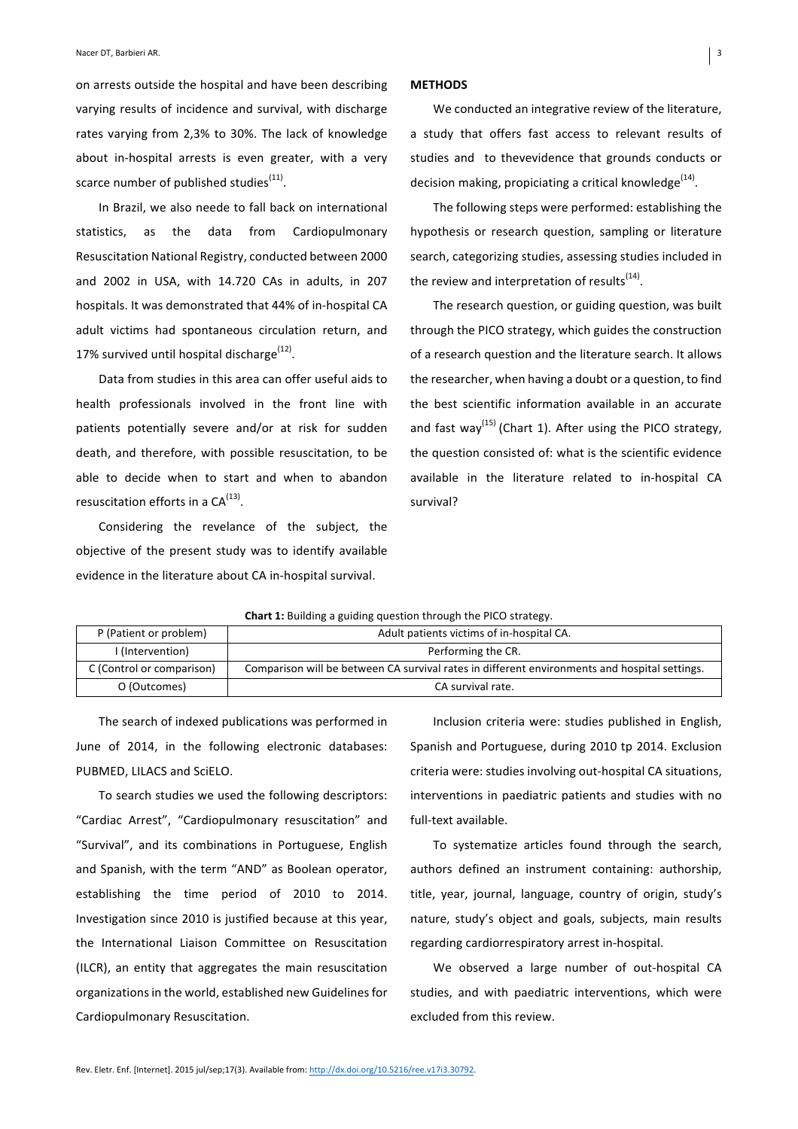on arrests outside the hospital and have been describing varying results of incidence and survival, with discharge rates varying from 2,3% to 30%. The lack of knowledge about in-hospital arrests is even greater, with a very scarce number of published studies<sup>(11)</sup>.

In Brazil, we also neede to fall back on international statistics, as the data from Cardiopulmonary Resuscitation National Registry, conducted between 2000 and 2002 in USA, with 14.720 CAs in adults, in 207 hospitals. It was demonstrated that 44% of in-hospital CA adult victims had spontaneous circulation return, and 17% survived until hospital discharge $<sup>(12)</sup>$ .</sup>

Data from studies in this area can offer useful aids to health professionals involved in the front line with patients potentially severe and/or at risk for sudden death, and therefore, with possible resuscitation, to be able to decide when to start and when to abandon resuscitation efforts in a  $CA^{(13)}$ .

Considering the revelance of the subject, the objective of the present study was to identify available evidence in the literature about CA in-hospital survival.

#### **METHODS**

We conducted an integrative review of the literature, a study that offers fast access to relevant results of studies and to thevevidence that grounds conducts or decision making, propiciating a critical knowledge<sup>(14)</sup>.

The following steps were performed: establishing the hypothesis or research question, sampling or literature search, categorizing studies, assessing studies included in the review and interpretation of results $<sup>(14)</sup>$ .</sup>

The research question, or guiding question, was built through the PICO strategy, which guides the construction of a research question and the literature search. It allows the researcher, when having a doubt or a question, to find the best scientific information available in an accurate and fast way<sup>(15)</sup> (Chart 1). After using the PICO strategy, the question consisted of: what is the scientific evidence available in the literature related to in-hospital CA survival?

| endre ar banang a galamg question tin ough the rice strategy. |                                                                                               |  |  |  |
|---------------------------------------------------------------|-----------------------------------------------------------------------------------------------|--|--|--|
| P (Patient or problem)                                        | Adult patients victims of in-hospital CA.                                                     |  |  |  |
| I (Intervention)                                              | Performing the CR.                                                                            |  |  |  |
| C (Control or comparison)                                     | Comparison will be between CA survival rates in different environments and hospital settings. |  |  |  |
| O (Outcomes)                                                  | CA survival rate.                                                                             |  |  |  |
|                                                               |                                                                                               |  |  |  |

**Chart 1:** Building a quiding question through the PICO strategy.

The search of indexed publications was performed in June of 2014, in the following electronic databases: PUBMED, LILACS and SciELO.

To search studies we used the following descriptors: "Cardiac Arrest", "Cardiopulmonary resuscitation" and "Survival", and its combinations in Portuguese, English and Spanish, with the term "AND" as Boolean operator, establishing the time period of 2010 to 2014. Investigation since 2010 is justified because at this year, the International Liaison Committee on Resuscitation (ILCR), an entity that aggregates the main resuscitation organizations in the world, established new Guidelines for Cardiopulmonary Resuscitation. 

Inclusion criteria were: studies published in English, Spanish and Portuguese, during 2010 tp 2014. Exclusion criteria were: studies involving out-hospital CA situations, interventions in paediatric patients and studies with no full-text available.

To systematize articles found through the search, authors defined an instrument containing: authorship, title, year, journal, language, country of origin, study's nature, study's object and goals, subjects, main results regarding cardiorrespiratory arrest in-hospital.

We observed a large number of out-hospital CA studies, and with paediatric interventions, which were excluded from this review.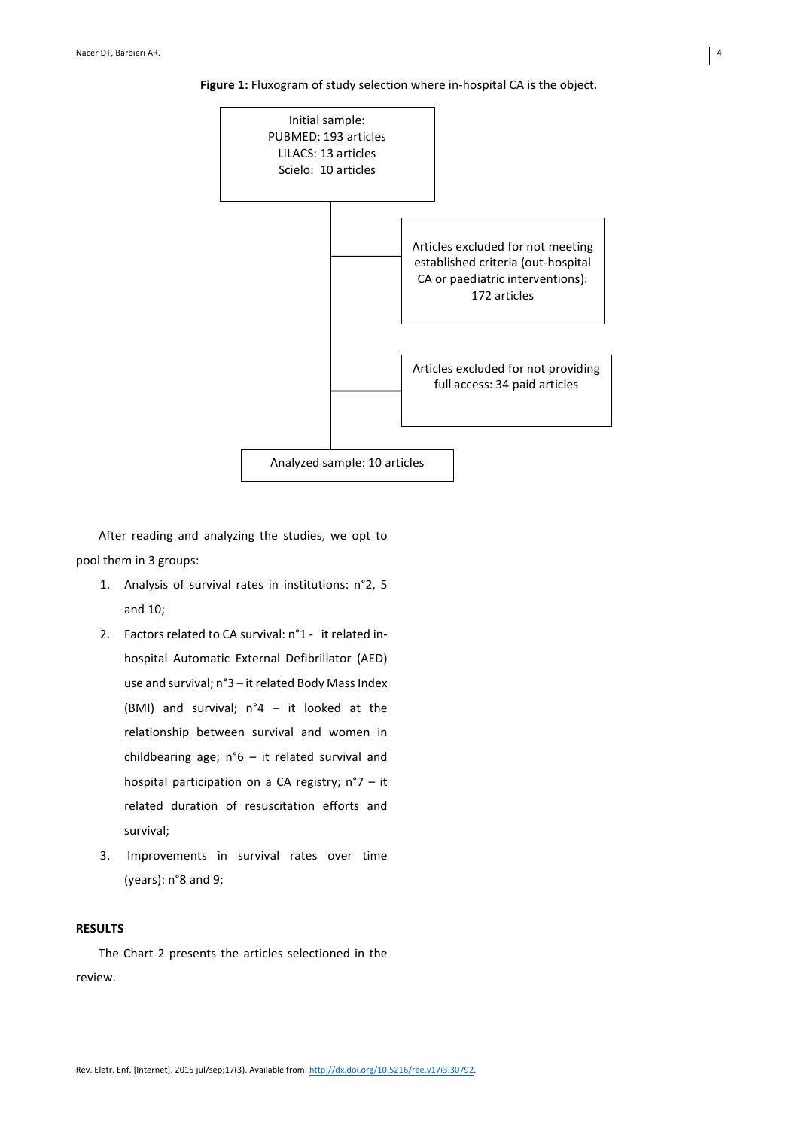Initial sample: PUBMED: 193 articles LILACS: 13 articles Scielo: 10 articles Articles excluded for not meeting established criteria (out-hospital CA or paediatric interventions): 172 articles Articles excluded for not providing full access: 34 paid articles Analyzed sample: 10 articles

**Figure 1:** Fluxogram of study selection where in-hospital CA is the object.

After reading and analyzing the studies, we opt to pool them in 3 groups:

- 1. Analysis of survival rates in institutions: n°2, 5 and 10;
- 2. Factors related to CA survival:  $n^{\circ}1$  it related inhospital Automatic External Defibrillator (AED) use and survival; n°3 – it related Body Mass Index (BMI) and survival;  $n^{\circ}4 - it$  looked at the relationship between survival and women in childbearing age;  $n^{\circ}6 - it$  related survival and hospital participation on a CA registry;  $n°7 - it$ related duration of resuscitation efforts and survival;
- 3. Improvements in survival rates over time (years):  $n°8$  and 9;

# **RESULTS**

The Chart 2 presents the articles selectioned in the review.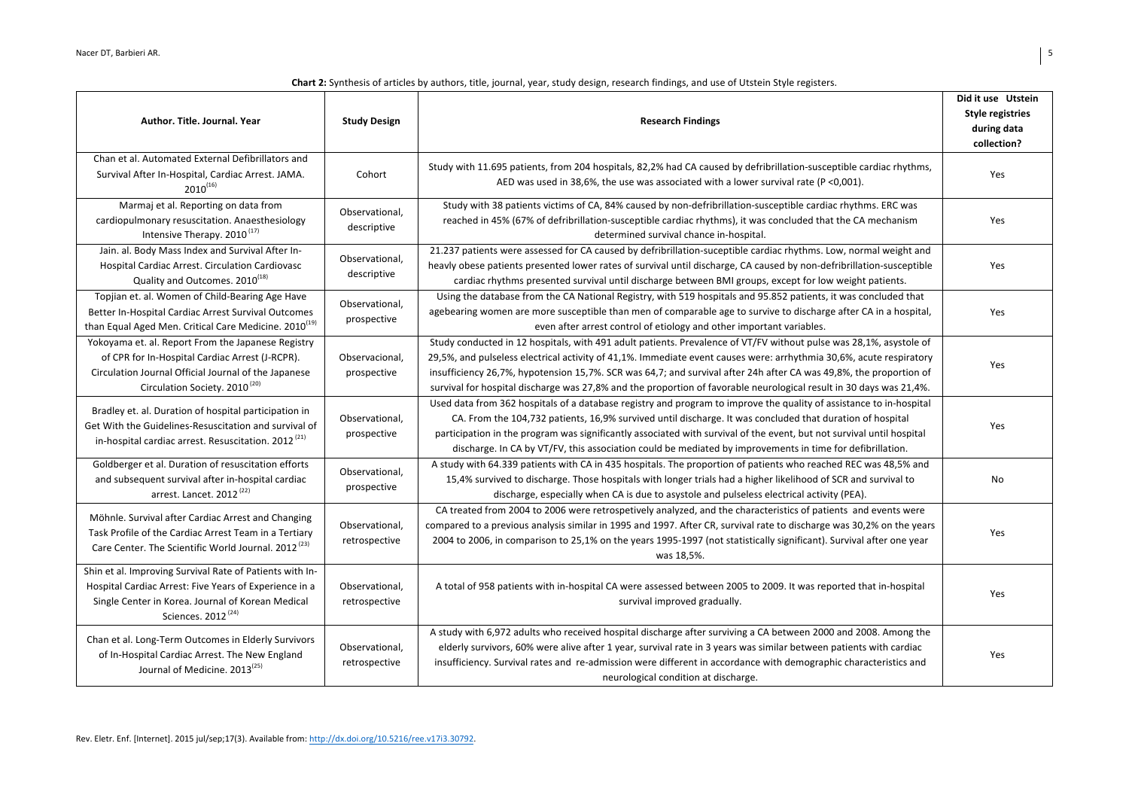| Author, Title, Journal, Year                                                                                                                                                                               | <b>Study Design</b>             | <b>Research Findings</b>                                                                                                                                                                                                                                                                                                                                                                                                                                                               | Did it use Utstein<br><b>Style registries</b><br>during data<br>collection? |
|------------------------------------------------------------------------------------------------------------------------------------------------------------------------------------------------------------|---------------------------------|----------------------------------------------------------------------------------------------------------------------------------------------------------------------------------------------------------------------------------------------------------------------------------------------------------------------------------------------------------------------------------------------------------------------------------------------------------------------------------------|-----------------------------------------------------------------------------|
| Chan et al. Automated External Defibrillators and<br>Survival After In-Hospital, Cardiac Arrest. JAMA.<br>$2010^{(16)}$                                                                                    | Cohort                          | Study with 11.695 patients, from 204 hospitals, 82,2% had CA caused by defribrillation-susceptible cardiac rhythms,<br>AED was used in 38,6%, the use was associated with a lower survival rate ( $P < 0.001$ ).                                                                                                                                                                                                                                                                       | Yes                                                                         |
| Marmaj et al. Reporting on data from<br>cardiopulmonary resuscitation. Anaesthesiology<br>Intensive Therapy. 2010 <sup>(17)</sup>                                                                          | Observational.<br>descriptive   | Study with 38 patients victims of CA, 84% caused by non-defribrillation-susceptible cardiac rhythms. ERC was<br>reached in 45% (67% of defribrillation-susceptible cardiac rhythms), it was concluded that the CA mechanism<br>determined survival chance in-hospital.                                                                                                                                                                                                                 | Yes                                                                         |
| Jain. al. Body Mass Index and Survival After In-<br>Hospital Cardiac Arrest. Circulation Cardiovasc<br>Quality and Outcomes. 2010 <sup>(18)</sup>                                                          | Observational,<br>descriptive   | 21.237 patients were assessed for CA caused by defribrillation-suceptible cardiac rhythms. Low, normal weight and<br>heavly obese patients presented lower rates of survival until discharge, CA caused by non-defribrillation-susceptible<br>cardiac rhythms presented survival until discharge between BMI groups, except for low weight patients.                                                                                                                                   | Yes                                                                         |
| Topjian et. al. Women of Child-Bearing Age Have<br>Better In-Hospital Cardiac Arrest Survival Outcomes<br>than Equal Aged Men. Critical Care Medicine. $2010^{(19)}$                                       | Observational,<br>prospective   | Using the database from the CA National Registry, with 519 hospitals and 95.852 patients, it was concluded that<br>agebearing women are more susceptible than men of comparable age to survive to discharge after CA in a hospital,<br>even after arrest control of etiology and other important variables.                                                                                                                                                                            | Yes                                                                         |
| Yokoyama et. al. Report From the Japanese Registry<br>of CPR for In-Hospital Cardiac Arrest (J-RCPR).<br>Circulation Journal Official Journal of the Japanese<br>Circulation Society. 2010 <sup>(20)</sup> | Observacional,<br>prospective   | Study conducted in 12 hospitals, with 491 adult patients. Prevalence of VT/FV without pulse was 28,1%, asystole of<br>29,5%, and pulseless electrical activity of 41,1%. Immediate event causes were: arrhythmia 30,6%, acute respiratory<br>insufficiency 26,7%, hypotension 15,7%. SCR was 64,7; and survival after 24h after CA was 49,8%, the proportion of<br>survival for hospital discharge was 27,8% and the proportion of favorable neurological result in 30 days was 21,4%. | Yes                                                                         |
| Bradley et. al. Duration of hospital participation in<br>Get With the Guidelines-Resuscitation and survival of<br>in-hospital cardiac arrest. Resuscitation. 2012 <sup>(21)</sup>                          | Observational,<br>prospective   | Used data from 362 hospitals of a database registry and program to improve the quality of assistance to in-hospital<br>CA. From the 104,732 patients, 16,9% survived until discharge. It was concluded that duration of hospital<br>participation in the program was significantly associated with survival of the event, but not survival until hospital<br>discharge. In CA by VT/FV, this association could be mediated by improvements in time for defibrillation.                 | Yes                                                                         |
| Goldberger et al. Duration of resuscitation efforts<br>and subsequent survival after in-hospital cardiac<br>arrest. Lancet. 2012 <sup>(22)</sup>                                                           | Observational,<br>prospective   | A study with 64.339 patients with CA in 435 hospitals. The proportion of patients who reached REC was 48,5% and<br>15,4% survived to discharge. Those hospitals with longer trials had a higher likelihood of SCR and survival to<br>discharge, especially when CA is due to asystole and pulseless electrical activity (PEA).                                                                                                                                                         | No                                                                          |
| Möhnle. Survival after Cardiac Arrest and Changing<br>Task Profile of the Cardiac Arrest Team in a Tertiary<br>Care Center. The Scientific World Journal. 2012 <sup>(23)</sup>                             | Observational,<br>retrospective | CA treated from 2004 to 2006 were retrospetively analyzed, and the characteristics of patients and events were<br>compared to a previous analysis similar in 1995 and 1997. After CR, survival rate to discharge was 30,2% on the years<br>2004 to 2006, in comparison to 25,1% on the years 1995-1997 (not statistically significant). Survival after one year<br>was 18,5%.                                                                                                          | Yes                                                                         |
| Shin et al. Improving Survival Rate of Patients with In-<br>Hospital Cardiac Arrest: Five Years of Experience in a<br>Single Center in Korea. Journal of Korean Medical<br>Sciences. 2012 <sup>(24)</sup>  | Observational,<br>retrospective | A total of 958 patients with in-hospital CA were assessed between 2005 to 2009. It was reported that in-hospital<br>survival improved gradually.                                                                                                                                                                                                                                                                                                                                       | Yes                                                                         |
| Chan et al. Long-Term Outcomes in Elderly Survivors<br>of In-Hospital Cardiac Arrest. The New England<br>Journal of Medicine, 2013 <sup>(25)</sup>                                                         | Observational,<br>retrospective | A study with 6,972 adults who received hospital discharge after surviving a CA between 2000 and 2008. Among the<br>elderly survivors, 60% were alive after 1 year, survival rate in 3 years was similar between patients with cardiac<br>insufficiency. Survival rates and re-admission were different in accordance with demographic characteristics and<br>neurological condition at discharge.                                                                                      | Yes                                                                         |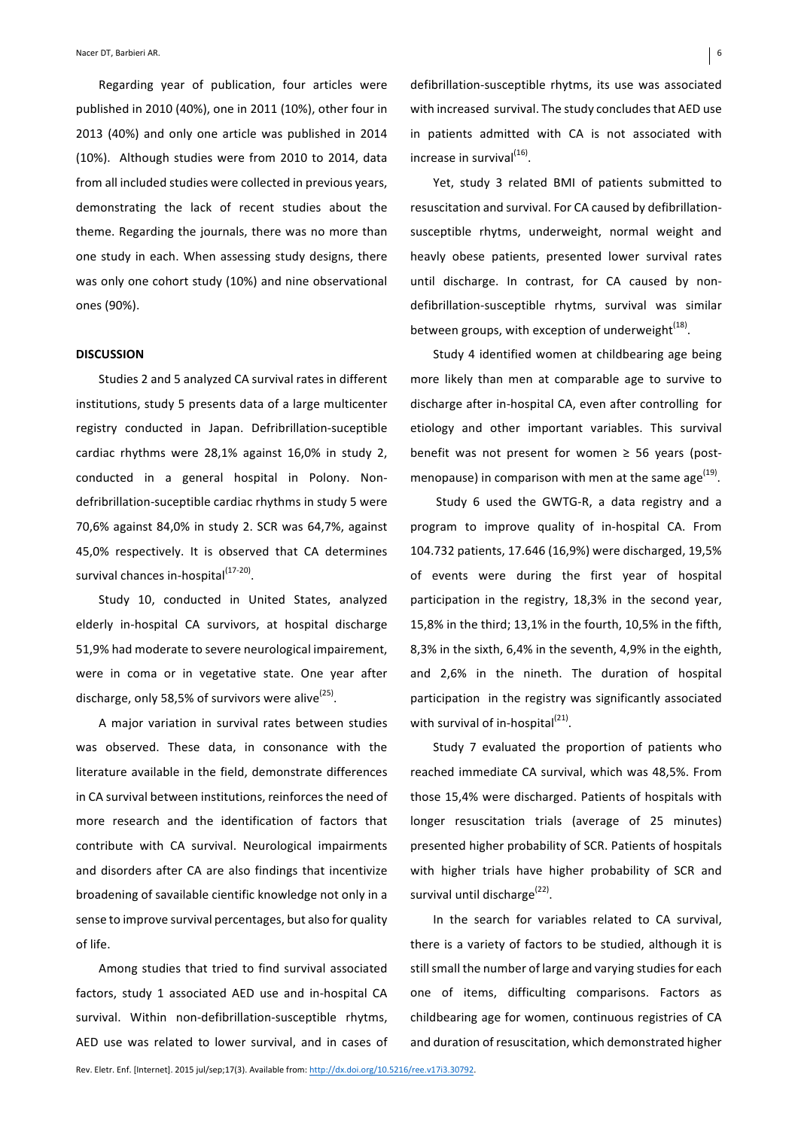Regarding year of publication, four articles were published in 2010 (40%), one in 2011 (10%), other four in 2013 (40%) and only one article was published in 2014 (10%). Although studies were from 2010 to 2014, data from all included studies were collected in previous years, demonstrating the lack of recent studies about the theme. Regarding the journals, there was no more than one study in each. When assessing study designs, there was only one cohort study (10%) and nine observational ones (90%). 

## **DISCUSSION**

Studies 2 and 5 analyzed CA survival rates in different institutions, study 5 presents data of a large multicenter registry conducted in Japan. Defribrillation-suceptible cardiac rhythms were 28,1% against 16,0% in study 2, conducted in a general hospital in Polony. Nondefribrillation-suceptible cardiac rhythms in study 5 were 70,6% against 84,0% in study 2. SCR was 64,7%, against 45,0% respectively. It is observed that CA determines survival chances in-hospital<sup>(17-20)</sup>.

Study 10, conducted in United States, analyzed elderly in-hospital CA survivors, at hospital discharge 51,9% had moderate to severe neurological impairement, were in coma or in vegetative state. One year after discharge, only 58,5% of survivors were alive<sup>(25)</sup>.

A major variation in survival rates between studies was observed. These data, in consonance with the literature available in the field, demonstrate differences in CA survival between institutions, reinforces the need of more research and the identification of factors that contribute with CA survival. Neurological impairments and disorders after CA are also findings that incentivize broadening of savailable cientific knowledge not only in a sense to improve survival percentages, but also for quality of life.

Among studies that tried to find survival associated factors, study 1 associated AED use and in-hospital CA survival. Within non-defibrillation-susceptible rhytms, AED use was related to lower survival, and in cases of defibrillation-susceptible rhytms, its use was associated with increased survival. The study concludes that AED use in patients admitted with CA is not associated with increase in survival<sup>(16)</sup>.

Yet, study 3 related BMI of patients submitted to resuscitation and survival. For CA caused by defibrillationsusceptible rhytms, underweight, normal weight and heavly obese patients, presented lower survival rates until discharge. In contrast, for CA caused by nondefibrillation-susceptible rhytms, survival was similar between groups, with exception of underweight<sup>(18)</sup>.

Study 4 identified women at childbearing age being more likely than men at comparable age to survive to discharge after in-hospital CA, even after controlling for etiology and other important variables. This survival benefit was not present for women  $\geq$  56 years (postmenopause) in comparison with men at the same age<sup>(19)</sup>.

Study 6 used the GWTG-R, a data registry and a program to improve quality of in-hospital CA. From 104.732 patients, 17.646 (16,9%) were discharged, 19,5% of events were during the first year of hospital participation in the registry, 18,3% in the second year, 15,8% in the third; 13,1% in the fourth, 10,5% in the fifth, 8,3% in the sixth, 6,4% in the seventh, 4,9% in the eighth, and 2,6% in the nineth. The duration of hospital participation in the registry was significantly associated with survival of in-hospital $^{(21)}$ .

Study 7 evaluated the proportion of patients who reached immediate CA survival, which was 48,5%. From those 15,4% were discharged. Patients of hospitals with longer resuscitation trials (average of 25 minutes) presented higher probability of SCR. Patients of hospitals with higher trials have higher probability of SCR and survival until discharge<sup>(22)</sup>.

In the search for variables related to CA survival, there is a variety of factors to be studied, although it is still small the number of large and varying studies for each one of items, difficulting comparisons. Factors as childbearing age for women, continuous registries of CA and duration of resuscitation, which demonstrated higher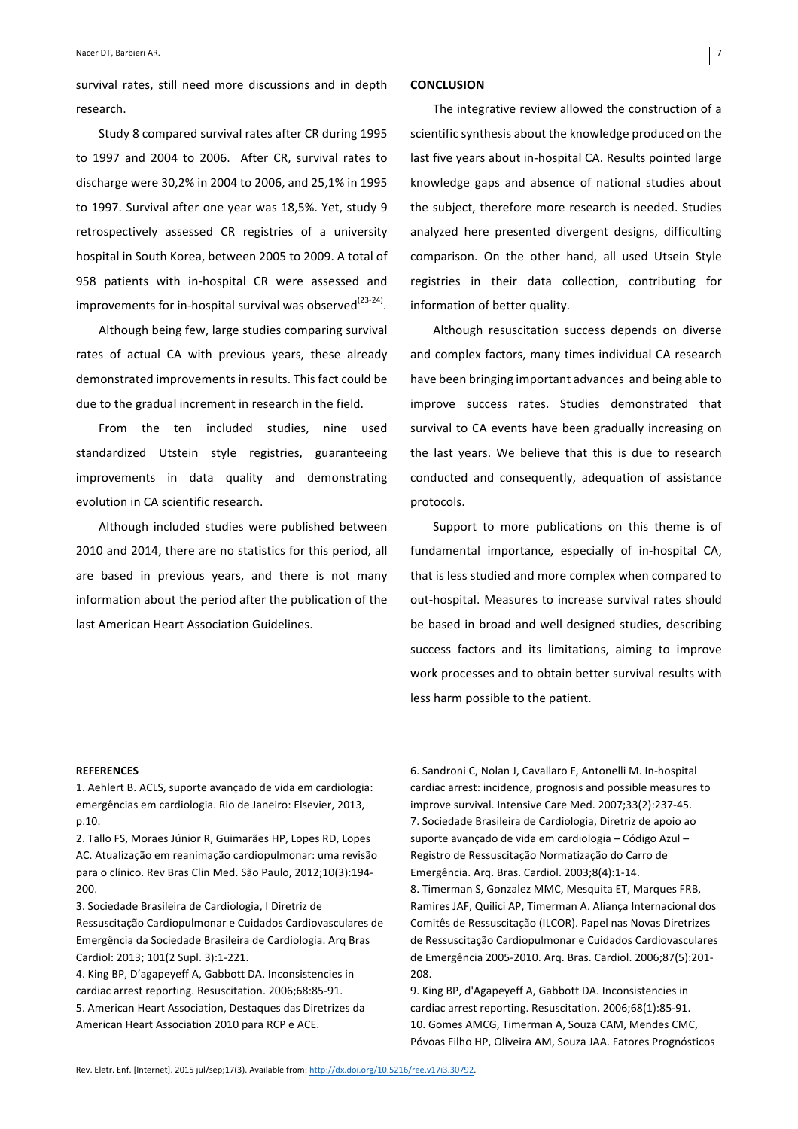survival rates, still need more discussions and in depth research. 

Study 8 compared survival rates after CR during 1995 to 1997 and 2004 to 2006. After CR, survival rates to discharge were 30,2% in 2004 to 2006, and 25,1% in 1995 to 1997. Survival after one year was 18,5%. Yet, study 9 retrospectively assessed CR registries of a university hospital in South Korea, between 2005 to 2009. A total of 958 patients with in-hospital CR were assessed and improvements for in-hospital survival was observed<sup>(23-24)</sup>.

Although being few, large studies comparing survival rates of actual CA with previous years, these already demonstrated improvements in results. This fact could be due to the gradual increment in research in the field.

From the ten included studies, nine used standardized Utstein style registries, guaranteeing improvements in data quality and demonstrating evolution in CA scientific research.

Although included studies were published between 2010 and 2014, there are no statistics for this period, all are based in previous years, and there is not many information about the period after the publication of the last American Heart Association Guidelines.

### **CONCLUSION**

The integrative review allowed the construction of a scientific synthesis about the knowledge produced on the last five years about in-hospital CA. Results pointed large knowledge gaps and absence of national studies about the subject, therefore more research is needed. Studies analyzed here presented divergent designs, difficulting comparison. On the other hand, all used Utsein Style registries in their data collection, contributing for information of better quality.

Although resuscitation success depends on diverse and complex factors, many times individual CA research have been bringing important advances and being able to improve success rates. Studies demonstrated that survival to CA events have been gradually increasing on the last years. We believe that this is due to research conducted and consequently, adequation of assistance protocols. 

Support to more publications on this theme is of fundamental importance, especially of in-hospital CA, that is less studied and more complex when compared to out-hospital. Measures to increase survival rates should be based in broad and well designed studies, describing success factors and its limitations, aiming to improve work processes and to obtain better survival results with less harm possible to the patient.

## **REFERENCES**

1. Aehlert B. ACLS, suporte avançado de vida em cardiologia: emergências em cardiologia. Rio de Janeiro: Elsevier, 2013, p.10.

2. Tallo FS, Moraes Júnior R, Guimarães HP, Lopes RD, Lopes AC. Atualização em reanimação cardiopulmonar: uma revisão para o clínico. Rev Bras Clin Med. São Paulo, 2012;10(3):194-200.

3. Sociedade Brasileira de Cardiologia, I Diretriz de Ressuscitação Cardiopulmonar e Cuidados Cardiovasculares de Emergência da Sociedade Brasileira de Cardiologia. Arq Bras Cardiol: 2013; 101(2 Supl. 3):1-221.

4. King BP, D'agapeyeff A, Gabbott DA. Inconsistencies in cardiac arrest reporting. Resuscitation. 2006;68:85-91. 5. American Heart Association, Destaques das Diretrizes da American Heart Association 2010 para RCP e ACE.

6. Sandroni C, Nolan J, Cavallaro F, Antonelli M. In-hospital cardiac arrest: incidence, prognosis and possible measures to improve survival. Intensive Care Med. 2007;33(2):237-45. 7. Sociedade Brasileira de Cardiologia, Diretriz de apoio ao suporte avançado de vida em cardiologia – Código Azul – Registro de Ressuscitação Normatização do Carro de Emergência. Arq. Bras. Cardiol. 2003;8(4):1-14. 8. Timerman S, Gonzalez MMC, Mesquita ET, Marques FRB, Ramires JAF, Quilici AP, Timerman A. Aliança Internacional dos Comitês de Ressuscitação (ILCOR). Papel nas Novas Diretrizes

de Ressuscitação Cardiopulmonar e Cuidados Cardiovasculares de Emergência 2005-2010. Arq. Bras. Cardiol. 2006;87(5):201-208.

9. King BP, d'Agapeyeff A, Gabbott DA. Inconsistencies in cardiac arrest reporting. Resuscitation. 2006;68(1):85-91. 10. Gomes AMCG, Timerman A, Souza CAM, Mendes CMC, Póvoas Filho HP, Oliveira AM, Souza JAA. Fatores Prognósticos